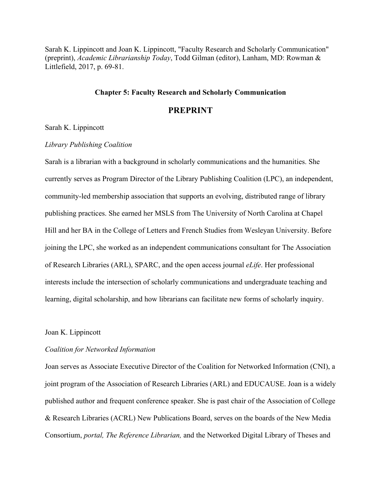Sarah K. Lippincott and Joan K. Lippincott, "Faculty Research and Scholarly Communication" (preprint), *Academic Librarianship Today*, Todd Gilman (editor), Lanham, MD: Rowman & Littlefield, 2017, p. 69-81.

## **Chapter 5: Faculty Research and Scholarly Communication**

## **PREPRINT**

#### Sarah K. Lippincott

#### *Library Publishing Coalition*

Sarah is a librarian with a background in scholarly communications and the humanities. She currently serves as Program Director of the Library Publishing Coalition (LPC), an independent, community-led membership association that supports an evolving, distributed range of library publishing practices. She earned her MSLS from The University of North Carolina at Chapel Hill and her BA in the College of Letters and French Studies from Wesleyan University. Before joining the LPC, she worked as an independent communications consultant for The Association of Research Libraries (ARL), SPARC, and the open access journal *eLife*. Her professional interests include the intersection of scholarly communications and undergraduate teaching and learning, digital scholarship, and how librarians can facilitate new forms of scholarly inquiry.

### Joan K. Lippincott

#### *Coalition for Networked Information*

Joan serves as Associate Executive Director of the Coalition for Networked Information (CNI), a joint program of the Association of Research Libraries (ARL) and EDUCAUSE. Joan is a widely published author and frequent conference speaker. She is past chair of the Association of College & Research Libraries (ACRL) New Publications Board, serves on the boards of the New Media Consortium, *portal, The Reference Librarian,* and the Networked Digital Library of Theses and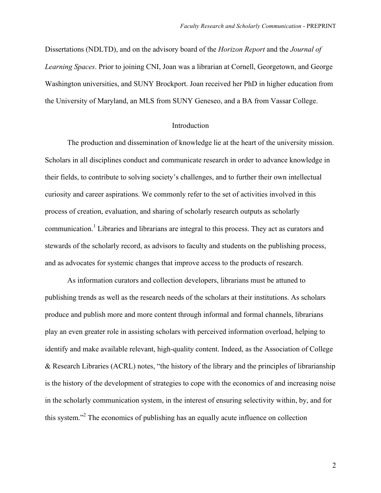Dissertations (NDLTD), and on the advisory board of the *Horizon Report* and the *Journal of Learning Spaces*. Prior to joining CNI, Joan was a librarian at Cornell, Georgetown, and George Washington universities, and SUNY Brockport. Joan received her PhD in higher education from the University of Maryland, an MLS from SUNY Geneseo, and a BA from Vassar College.

#### Introduction

The production and dissemination of knowledge lie at the heart of the university mission. Scholars in all disciplines conduct and communicate research in order to advance knowledge in their fields, to contribute to solving society's challenges, and to further their own intellectual curiosity and career aspirations. We commonly refer to the set of activities involved in this process of creation, evaluation, and sharing of scholarly research outputs as scholarly communication.<sup>1</sup> Libraries and librarians are integral to this process. They act as curators and stewards of the scholarly record, as advisors to faculty and students on the publishing process, and as advocates for systemic changes that improve access to the products of research.

As information curators and collection developers, librarians must be attuned to publishing trends as well as the research needs of the scholars at their institutions. As scholars produce and publish more and more content through informal and formal channels, librarians play an even greater role in assisting scholars with perceived information overload, helping to identify and make available relevant, high-quality content. Indeed, as the Association of College & Research Libraries (ACRL) notes, "the history of the library and the principles of librarianship is the history of the development of strategies to cope with the economics of and increasing noise in the scholarly communication system, in the interest of ensuring selectivity within, by, and for this system."2 The economics of publishing has an equally acute influence on collection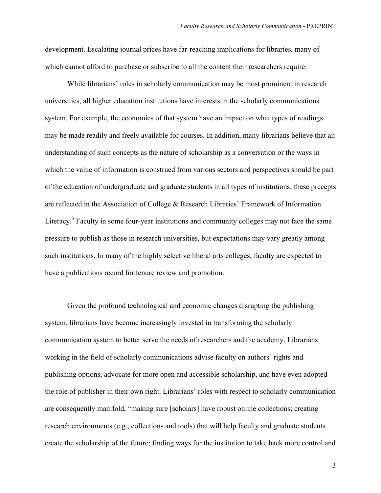development. Escalating journal prices have far-reaching implications for libraries, many of which cannot afford to purchase or subscribe to all the content their researchers require.

While librarians' roles in scholarly communication may be most prominent in research universities, all higher education institutions have interests in the scholarly communications system. For example, the economics of that system have an impact on what types of readings may be made readily and freely available for courses. In addition, many librarians believe that an understanding of such concepts as the nature of scholarship as a conversation or the ways in which the value of information is construed from various sectors and perspectives should be part of the education of undergraduate and graduate students in all types of institutions; these precepts are reflected in the Association of College & Research Libraries' Framework of Information Literacy.<sup>3</sup> Faculty in some four-year institutions and community colleges may not face the same pressure to publish as those in research universities, but expectations may vary greatly among such institutions. In many of the highly selective liberal arts colleges, faculty are expected to have a publications record for tenure review and promotion.

Given the profound technological and economic changes disrupting the publishing system, librarians have become increasingly invested in transforming the scholarly communication system to better serve the needs of researchers and the academy. Librarians working in the field of scholarly communications advise faculty on authors' rights and publishing options, advocate for more open and accessible scholarship, and have even adopted the role of publisher in their own right. Librarians' roles with respect to scholarly communication are consequently manifold, "making sure [scholars] have robust online collections; creating research environments (e.g., collections and tools) that will help faculty and graduate students create the scholarship of the future; finding ways for the institution to take back more control and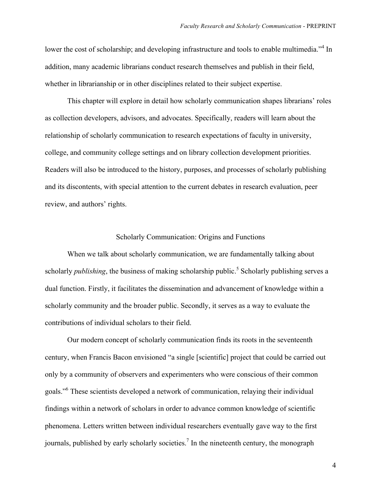lower the cost of scholarship; and developing infrastructure and tools to enable multimedia."<sup>4</sup> In addition, many academic librarians conduct research themselves and publish in their field, whether in librarianship or in other disciplines related to their subject expertise.

This chapter will explore in detail how scholarly communication shapes librarians' roles as collection developers, advisors, and advocates. Specifically, readers will learn about the relationship of scholarly communication to research expectations of faculty in university, college, and community college settings and on library collection development priorities. Readers will also be introduced to the history, purposes, and processes of scholarly publishing and its discontents, with special attention to the current debates in research evaluation, peer review, and authors' rights.

## Scholarly Communication: Origins and Functions

When we talk about scholarly communication, we are fundamentally talking about scholarly *publishing*, the business of making scholarship public.<sup>5</sup> Scholarly publishing serves a dual function. Firstly, it facilitates the dissemination and advancement of knowledge within a scholarly community and the broader public. Secondly, it serves as a way to evaluate the contributions of individual scholars to their field.

Our modern concept of scholarly communication finds its roots in the seventeenth century, when Francis Bacon envisioned "a single [scientific] project that could be carried out only by a community of observers and experimenters who were conscious of their common goals."6 These scientists developed a network of communication, relaying their individual findings within a network of scholars in order to advance common knowledge of scientific phenomena. Letters written between individual researchers eventually gave way to the first journals, published by early scholarly societies.<sup>7</sup> In the nineteenth century, the monograph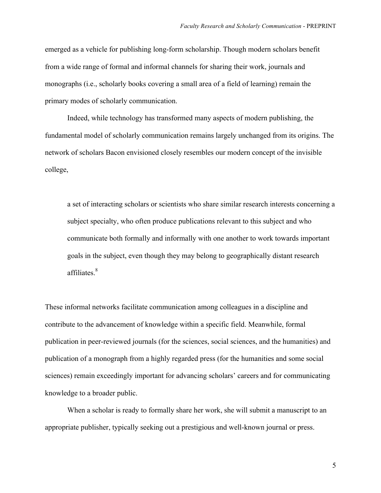emerged as a vehicle for publishing long-form scholarship. Though modern scholars benefit from a wide range of formal and informal channels for sharing their work, journals and monographs (i.e., scholarly books covering a small area of a field of learning) remain the primary modes of scholarly communication.

Indeed, while technology has transformed many aspects of modern publishing, the fundamental model of scholarly communication remains largely unchanged from its origins. The network of scholars Bacon envisioned closely resembles our modern concept of the invisible college,

a set of interacting scholars or scientists who share similar research interests concerning a subject specialty, who often produce publications relevant to this subject and who communicate both formally and informally with one another to work towards important goals in the subject, even though they may belong to geographically distant research affiliates.<sup>8</sup>

These informal networks facilitate communication among colleagues in a discipline and contribute to the advancement of knowledge within a specific field. Meanwhile, formal publication in peer-reviewed journals (for the sciences, social sciences, and the humanities) and publication of a monograph from a highly regarded press (for the humanities and some social sciences) remain exceedingly important for advancing scholars' careers and for communicating knowledge to a broader public.

When a scholar is ready to formally share her work, she will submit a manuscript to an appropriate publisher, typically seeking out a prestigious and well-known journal or press.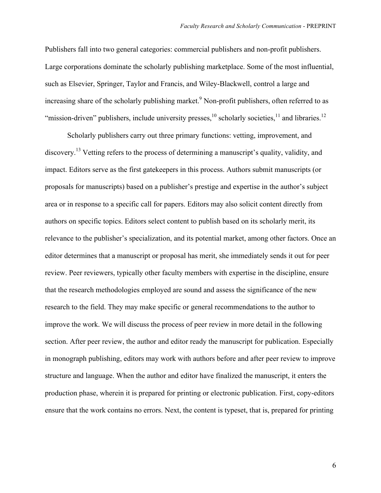Publishers fall into two general categories: commercial publishers and non-profit publishers. Large corporations dominate the scholarly publishing marketplace. Some of the most influential, such as Elsevier, Springer, Taylor and Francis, and Wiley-Blackwell, control a large and increasing share of the scholarly publishing market.<sup>9</sup> Non-profit publishers, often referred to as "mission-driven" publishers, include university presses,  $^{10}$  scholarly societies,  $^{11}$  and libraries.  $^{12}$ 

Scholarly publishers carry out three primary functions: vetting, improvement, and discovery.<sup>13</sup> Vetting refers to the process of determining a manuscript's quality, validity, and impact. Editors serve as the first gatekeepers in this process. Authors submit manuscripts (or proposals for manuscripts) based on a publisher's prestige and expertise in the author's subject area or in response to a specific call for papers. Editors may also solicit content directly from authors on specific topics. Editors select content to publish based on its scholarly merit, its relevance to the publisher's specialization, and its potential market, among other factors. Once an editor determines that a manuscript or proposal has merit, she immediately sends it out for peer review. Peer reviewers, typically other faculty members with expertise in the discipline, ensure that the research methodologies employed are sound and assess the significance of the new research to the field. They may make specific or general recommendations to the author to improve the work. We will discuss the process of peer review in more detail in the following section. After peer review, the author and editor ready the manuscript for publication. Especially in monograph publishing, editors may work with authors before and after peer review to improve structure and language. When the author and editor have finalized the manuscript, it enters the production phase, wherein it is prepared for printing or electronic publication. First, copy-editors ensure that the work contains no errors. Next, the content is typeset, that is, prepared for printing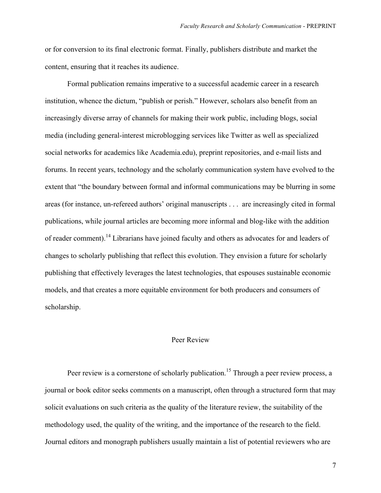or for conversion to its final electronic format. Finally, publishers distribute and market the content, ensuring that it reaches its audience.

Formal publication remains imperative to a successful academic career in a research institution, whence the dictum, "publish or perish." However, scholars also benefit from an increasingly diverse array of channels for making their work public, including blogs, social media (including general-interest microblogging services like Twitter as well as specialized social networks for academics like Academia.edu), preprint repositories, and e-mail lists and forums. In recent years, technology and the scholarly communication system have evolved to the extent that "the boundary between formal and informal communications may be blurring in some areas (for instance, un-refereed authors' original manuscripts . . . are increasingly cited in formal publications, while journal articles are becoming more informal and blog-like with the addition of reader comment).<sup>14</sup> Librarians have joined faculty and others as advocates for and leaders of changes to scholarly publishing that reflect this evolution. They envision a future for scholarly publishing that effectively leverages the latest technologies, that espouses sustainable economic models, and that creates a more equitable environment for both producers and consumers of scholarship.

### Peer Review

Peer review is a cornerstone of scholarly publication.<sup>15</sup> Through a peer review process, a journal or book editor seeks comments on a manuscript, often through a structured form that may solicit evaluations on such criteria as the quality of the literature review, the suitability of the methodology used, the quality of the writing, and the importance of the research to the field. Journal editors and monograph publishers usually maintain a list of potential reviewers who are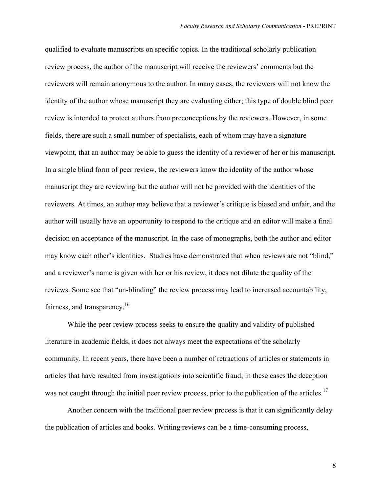qualified to evaluate manuscripts on specific topics. In the traditional scholarly publication review process, the author of the manuscript will receive the reviewers' comments but the reviewers will remain anonymous to the author. In many cases, the reviewers will not know the identity of the author whose manuscript they are evaluating either; this type of double blind peer review is intended to protect authors from preconceptions by the reviewers. However, in some fields, there are such a small number of specialists, each of whom may have a signature viewpoint, that an author may be able to guess the identity of a reviewer of her or his manuscript. In a single blind form of peer review, the reviewers know the identity of the author whose manuscript they are reviewing but the author will not be provided with the identities of the reviewers. At times, an author may believe that a reviewer's critique is biased and unfair, and the author will usually have an opportunity to respond to the critique and an editor will make a final decision on acceptance of the manuscript. In the case of monographs, both the author and editor may know each other's identities. Studies have demonstrated that when reviews are not "blind," and a reviewer's name is given with her or his review, it does not dilute the quality of the reviews. Some see that "un-blinding" the review process may lead to increased accountability, fairness, and transparency.<sup>16</sup>

While the peer review process seeks to ensure the quality and validity of published literature in academic fields, it does not always meet the expectations of the scholarly community. In recent years, there have been a number of retractions of articles or statements in articles that have resulted from investigations into scientific fraud; in these cases the deception was not caught through the initial peer review process, prior to the publication of the articles.<sup>17</sup>

Another concern with the traditional peer review process is that it can significantly delay the publication of articles and books. Writing reviews can be a time-consuming process,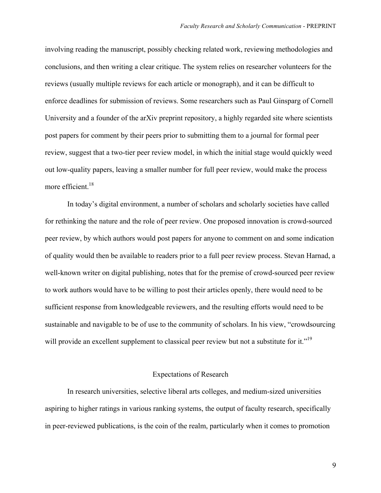involving reading the manuscript, possibly checking related work, reviewing methodologies and conclusions, and then writing a clear critique. The system relies on researcher volunteers for the reviews (usually multiple reviews for each article or monograph), and it can be difficult to enforce deadlines for submission of reviews. Some researchers such as Paul Ginsparg of Cornell University and a founder of the arXiv preprint repository, a highly regarded site where scientists post papers for comment by their peers prior to submitting them to a journal for formal peer review, suggest that a two-tier peer review model, in which the initial stage would quickly weed out low-quality papers, leaving a smaller number for full peer review, would make the process more efficient.<sup>18</sup>

In today's digital environment, a number of scholars and scholarly societies have called for rethinking the nature and the role of peer review. One proposed innovation is crowd-sourced peer review, by which authors would post papers for anyone to comment on and some indication of quality would then be available to readers prior to a full peer review process. Stevan Harnad, a well-known writer on digital publishing, notes that for the premise of crowd-sourced peer review to work authors would have to be willing to post their articles openly, there would need to be sufficient response from knowledgeable reviewers, and the resulting efforts would need to be sustainable and navigable to be of use to the community of scholars. In his view, "crowdsourcing will provide an excellent supplement to classical peer review but not a substitute for it."<sup>19</sup>

### Expectations of Research

In research universities, selective liberal arts colleges, and medium-sized universities aspiring to higher ratings in various ranking systems, the output of faculty research, specifically in peer-reviewed publications, is the coin of the realm, particularly when it comes to promotion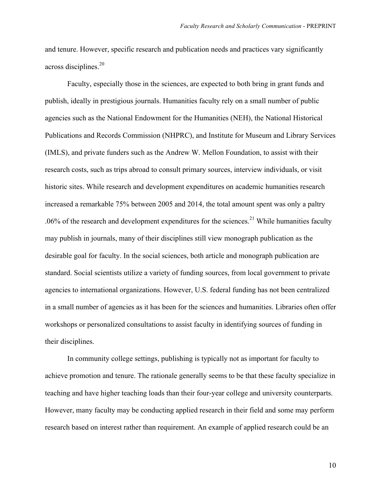and tenure. However, specific research and publication needs and practices vary significantly across disciplines.<sup>20</sup>

Faculty, especially those in the sciences, are expected to both bring in grant funds and publish, ideally in prestigious journals. Humanities faculty rely on a small number of public agencies such as the National Endowment for the Humanities (NEH), the National Historical Publications and Records Commission (NHPRC), and Institute for Museum and Library Services (IMLS), and private funders such as the Andrew W. Mellon Foundation, to assist with their research costs, such as trips abroad to consult primary sources, interview individuals, or visit historic sites. While research and development expenditures on academic humanities research increased a remarkable 75% between 2005 and 2014, the total amount spent was only a paltry .06% of the research and development expenditures for the sciences.<sup>21</sup> While humanities faculty may publish in journals, many of their disciplines still view monograph publication as the desirable goal for faculty. In the social sciences, both article and monograph publication are standard. Social scientists utilize a variety of funding sources, from local government to private agencies to international organizations. However, U.S. federal funding has not been centralized in a small number of agencies as it has been for the sciences and humanities. Libraries often offer workshops or personalized consultations to assist faculty in identifying sources of funding in their disciplines.

In community college settings, publishing is typically not as important for faculty to achieve promotion and tenure. The rationale generally seems to be that these faculty specialize in teaching and have higher teaching loads than their four-year college and university counterparts. However, many faculty may be conducting applied research in their field and some may perform research based on interest rather than requirement. An example of applied research could be an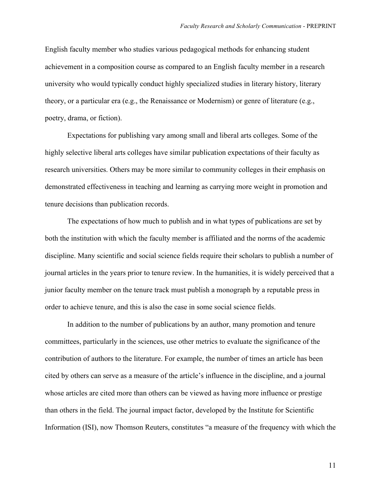English faculty member who studies various pedagogical methods for enhancing student achievement in a composition course as compared to an English faculty member in a research university who would typically conduct highly specialized studies in literary history, literary theory, or a particular era (e.g., the Renaissance or Modernism) or genre of literature (e.g., poetry, drama, or fiction).

Expectations for publishing vary among small and liberal arts colleges. Some of the highly selective liberal arts colleges have similar publication expectations of their faculty as research universities. Others may be more similar to community colleges in their emphasis on demonstrated effectiveness in teaching and learning as carrying more weight in promotion and tenure decisions than publication records.

The expectations of how much to publish and in what types of publications are set by both the institution with which the faculty member is affiliated and the norms of the academic discipline. Many scientific and social science fields require their scholars to publish a number of journal articles in the years prior to tenure review. In the humanities, it is widely perceived that a junior faculty member on the tenure track must publish a monograph by a reputable press in order to achieve tenure, and this is also the case in some social science fields.

In addition to the number of publications by an author, many promotion and tenure committees, particularly in the sciences, use other metrics to evaluate the significance of the contribution of authors to the literature. For example, the number of times an article has been cited by others can serve as a measure of the article's influence in the discipline, and a journal whose articles are cited more than others can be viewed as having more influence or prestige than others in the field. The journal impact factor, developed by the Institute for Scientific Information (ISI), now Thomson Reuters, constitutes "a measure of the frequency with which the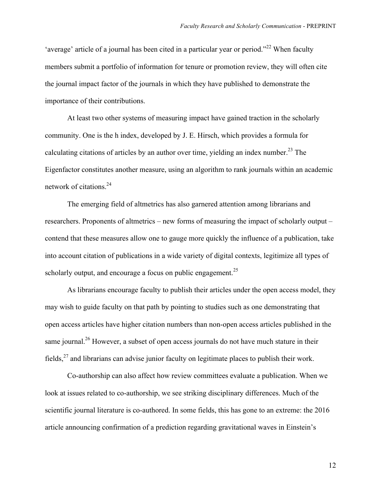'average' article of a journal has been cited in a particular year or period."<sup>22</sup> When faculty members submit a portfolio of information for tenure or promotion review, they will often cite the journal impact factor of the journals in which they have published to demonstrate the importance of their contributions.

At least two other systems of measuring impact have gained traction in the scholarly community. One is the h index, developed by J. E. Hirsch, which provides a formula for calculating citations of articles by an author over time, yielding an index number.<sup>23</sup> The Eigenfactor constitutes another measure, using an algorithm to rank journals within an academic network of citations.24

The emerging field of altmetrics has also garnered attention among librarians and researchers. Proponents of altmetrics – new forms of measuring the impact of scholarly output – contend that these measures allow one to gauge more quickly the influence of a publication, take into account citation of publications in a wide variety of digital contexts, legitimize all types of scholarly output, and encourage a focus on public engagement.<sup>25</sup>

As librarians encourage faculty to publish their articles under the open access model, they may wish to guide faculty on that path by pointing to studies such as one demonstrating that open access articles have higher citation numbers than non-open access articles published in the same journal.<sup>26</sup> However, a subset of open access journals do not have much stature in their fields, $^{27}$  and librarians can advise junior faculty on legitimate places to publish their work.

Co-authorship can also affect how review committees evaluate a publication. When we look at issues related to co-authorship, we see striking disciplinary differences. Much of the scientific journal literature is co-authored. In some fields, this has gone to an extreme: the 2016 article announcing confirmation of a prediction regarding gravitational waves in Einstein's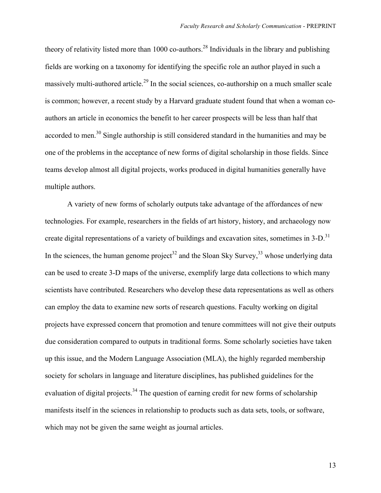theory of relativity listed more than 1000 co-authors.<sup>28</sup> Individuals in the library and publishing fields are working on a taxonomy for identifying the specific role an author played in such a massively multi-authored article.<sup>29</sup> In the social sciences, co-authorship on a much smaller scale is common; however, a recent study by a Harvard graduate student found that when a woman coauthors an article in economics the benefit to her career prospects will be less than half that accorded to men.<sup>30</sup> Single authorship is still considered standard in the humanities and may be one of the problems in the acceptance of new forms of digital scholarship in those fields. Since teams develop almost all digital projects, works produced in digital humanities generally have multiple authors.

A variety of new forms of scholarly outputs take advantage of the affordances of new technologies. For example, researchers in the fields of art history, history, and archaeology now create digital representations of a variety of buildings and excavation sites, sometimes in  $3-D$ .<sup>31</sup> In the sciences, the human genome project<sup>32</sup> and the Sloan Sky Survey,<sup>33</sup> whose underlying data can be used to create 3-D maps of the universe, exemplify large data collections to which many scientists have contributed. Researchers who develop these data representations as well as others can employ the data to examine new sorts of research questions. Faculty working on digital projects have expressed concern that promotion and tenure committees will not give their outputs due consideration compared to outputs in traditional forms. Some scholarly societies have taken up this issue, and the Modern Language Association (MLA), the highly regarded membership society for scholars in language and literature disciplines, has published guidelines for the evaluation of digital projects.<sup>34</sup> The question of earning credit for new forms of scholarship manifests itself in the sciences in relationship to products such as data sets, tools, or software, which may not be given the same weight as journal articles.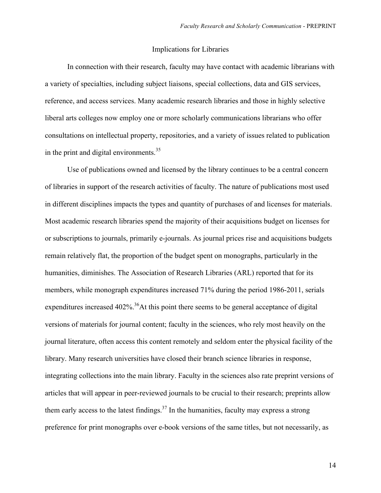#### Implications for Libraries

In connection with their research, faculty may have contact with academic librarians with a variety of specialties, including subject liaisons, special collections, data and GIS services, reference, and access services. Many academic research libraries and those in highly selective liberal arts colleges now employ one or more scholarly communications librarians who offer consultations on intellectual property, repositories, and a variety of issues related to publication in the print and digital environments.<sup>35</sup>

Use of publications owned and licensed by the library continues to be a central concern of libraries in support of the research activities of faculty. The nature of publications most used in different disciplines impacts the types and quantity of purchases of and licenses for materials. Most academic research libraries spend the majority of their acquisitions budget on licenses for or subscriptions to journals, primarily e-journals. As journal prices rise and acquisitions budgets remain relatively flat, the proportion of the budget spent on monographs, particularly in the humanities, diminishes. The Association of Research Libraries (ARL) reported that for its members, while monograph expenditures increased 71% during the period 1986-2011, serials expenditures increased  $402\%$ <sup>36</sup>At this point there seems to be general acceptance of digital versions of materials for journal content; faculty in the sciences, who rely most heavily on the journal literature, often access this content remotely and seldom enter the physical facility of the library. Many research universities have closed their branch science libraries in response, integrating collections into the main library. Faculty in the sciences also rate preprint versions of articles that will appear in peer-reviewed journals to be crucial to their research; preprints allow them early access to the latest findings.<sup>37</sup> In the humanities, faculty may express a strong preference for print monographs over e-book versions of the same titles, but not necessarily, as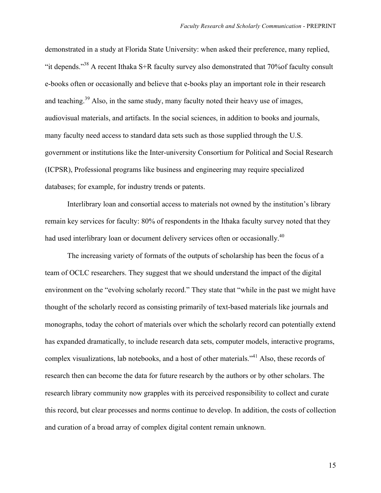demonstrated in a study at Florida State University: when asked their preference, many replied, "it depends."<sup>38</sup> A recent Ithaka S+R faculty survey also demonstrated that 70% of faculty consult e-books often or occasionally and believe that e-books play an important role in their research and teaching.<sup>39</sup> Also, in the same study, many faculty noted their heavy use of images, audiovisual materials, and artifacts. In the social sciences, in addition to books and journals, many faculty need access to standard data sets such as those supplied through the U.S. government or institutions like the Inter-university Consortium for Political and Social Research (ICPSR), Professional programs like business and engineering may require specialized databases; for example, for industry trends or patents.

Interlibrary loan and consortial access to materials not owned by the institution's library remain key services for faculty: 80% of respondents in the Ithaka faculty survey noted that they had used interlibrary loan or document delivery services often or occasionally.<sup>40</sup>

The increasing variety of formats of the outputs of scholarship has been the focus of a team of OCLC researchers. They suggest that we should understand the impact of the digital environment on the "evolving scholarly record." They state that "while in the past we might have thought of the scholarly record as consisting primarily of text-based materials like journals and monographs, today the cohort of materials over which the scholarly record can potentially extend has expanded dramatically, to include research data sets, computer models, interactive programs, complex visualizations, lab notebooks, and a host of other materials."<sup>41</sup> Also, these records of research then can become the data for future research by the authors or by other scholars. The research library community now grapples with its perceived responsibility to collect and curate this record, but clear processes and norms continue to develop. In addition, the costs of collection and curation of a broad array of complex digital content remain unknown.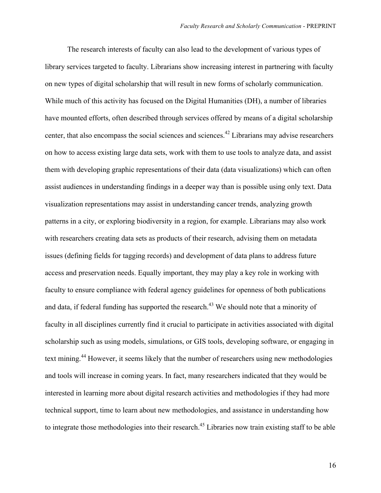The research interests of faculty can also lead to the development of various types of library services targeted to faculty. Librarians show increasing interest in partnering with faculty on new types of digital scholarship that will result in new forms of scholarly communication. While much of this activity has focused on the Digital Humanities (DH), a number of libraries have mounted efforts, often described through services offered by means of a digital scholarship center, that also encompass the social sciences and sciences.42 Librarians may advise researchers on how to access existing large data sets, work with them to use tools to analyze data, and assist them with developing graphic representations of their data (data visualizations) which can often assist audiences in understanding findings in a deeper way than is possible using only text. Data visualization representations may assist in understanding cancer trends, analyzing growth patterns in a city, or exploring biodiversity in a region, for example. Librarians may also work with researchers creating data sets as products of their research, advising them on metadata issues (defining fields for tagging records) and development of data plans to address future access and preservation needs. Equally important, they may play a key role in working with faculty to ensure compliance with federal agency guidelines for openness of both publications and data, if federal funding has supported the research.<sup>43</sup> We should note that a minority of faculty in all disciplines currently find it crucial to participate in activities associated with digital scholarship such as using models, simulations, or GIS tools, developing software, or engaging in text mining.<sup>44</sup> However, it seems likely that the number of researchers using new methodologies and tools will increase in coming years. In fact, many researchers indicated that they would be interested in learning more about digital research activities and methodologies if they had more technical support, time to learn about new methodologies, and assistance in understanding how to integrate those methodologies into their research.<sup>45</sup> Libraries now train existing staff to be able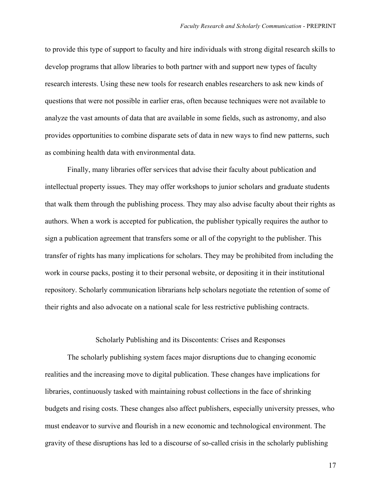to provide this type of support to faculty and hire individuals with strong digital research skills to develop programs that allow libraries to both partner with and support new types of faculty research interests. Using these new tools for research enables researchers to ask new kinds of questions that were not possible in earlier eras, often because techniques were not available to analyze the vast amounts of data that are available in some fields, such as astronomy, and also provides opportunities to combine disparate sets of data in new ways to find new patterns, such as combining health data with environmental data.

Finally, many libraries offer services that advise their faculty about publication and intellectual property issues. They may offer workshops to junior scholars and graduate students that walk them through the publishing process. They may also advise faculty about their rights as authors. When a work is accepted for publication, the publisher typically requires the author to sign a publication agreement that transfers some or all of the copyright to the publisher. This transfer of rights has many implications for scholars. They may be prohibited from including the work in course packs, posting it to their personal website, or depositing it in their institutional repository. Scholarly communication librarians help scholars negotiate the retention of some of their rights and also advocate on a national scale for less restrictive publishing contracts.

#### Scholarly Publishing and its Discontents: Crises and Responses

The scholarly publishing system faces major disruptions due to changing economic realities and the increasing move to digital publication. These changes have implications for libraries, continuously tasked with maintaining robust collections in the face of shrinking budgets and rising costs. These changes also affect publishers, especially university presses, who must endeavor to survive and flourish in a new economic and technological environment. The gravity of these disruptions has led to a discourse of so-called crisis in the scholarly publishing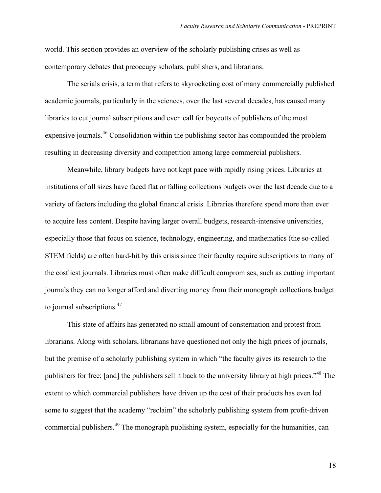world. This section provides an overview of the scholarly publishing crises as well as contemporary debates that preoccupy scholars, publishers, and librarians.

The serials crisis, a term that refers to skyrocketing cost of many commercially published academic journals, particularly in the sciences, over the last several decades, has caused many libraries to cut journal subscriptions and even call for boycotts of publishers of the most expensive journals.<sup>46</sup> Consolidation within the publishing sector has compounded the problem resulting in decreasing diversity and competition among large commercial publishers.

Meanwhile, library budgets have not kept pace with rapidly rising prices. Libraries at institutions of all sizes have faced flat or falling collections budgets over the last decade due to a variety of factors including the global financial crisis. Libraries therefore spend more than ever to acquire less content. Despite having larger overall budgets, research-intensive universities, especially those that focus on science, technology, engineering, and mathematics (the so-called STEM fields) are often hard-hit by this crisis since their faculty require subscriptions to many of the costliest journals. Libraries must often make difficult compromises, such as cutting important journals they can no longer afford and diverting money from their monograph collections budget to journal subscriptions.<sup>47</sup>

This state of affairs has generated no small amount of consternation and protest from librarians. Along with scholars, librarians have questioned not only the high prices of journals, but the premise of a scholarly publishing system in which "the faculty gives its research to the publishers for free; [and] the publishers sell it back to the university library at high prices."<sup>48</sup> The extent to which commercial publishers have driven up the cost of their products has even led some to suggest that the academy "reclaim" the scholarly publishing system from profit-driven commercial publishers.<sup>49</sup> The monograph publishing system, especially for the humanities, can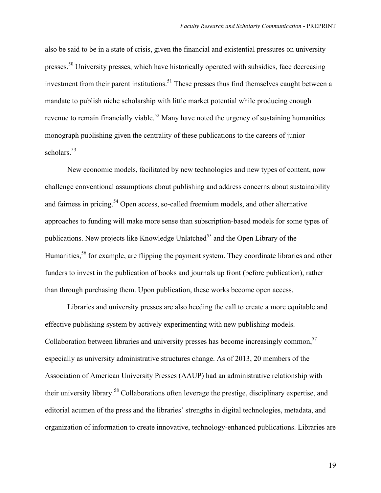also be said to be in a state of crisis, given the financial and existential pressures on university presses.<sup>50</sup> University presses, which have historically operated with subsidies, face decreasing investment from their parent institutions.<sup>51</sup> These presses thus find themselves caught between a mandate to publish niche scholarship with little market potential while producing enough revenue to remain financially viable.<sup>52</sup> Many have noted the urgency of sustaining humanities monograph publishing given the centrality of these publications to the careers of junior scholars.<sup>53</sup>

New economic models, facilitated by new technologies and new types of content, now challenge conventional assumptions about publishing and address concerns about sustainability and fairness in pricing.<sup>54</sup> Open access, so-called freemium models, and other alternative approaches to funding will make more sense than subscription-based models for some types of publications. New projects like Knowledge Unlatched<sup>55</sup> and the Open Library of the Humanities,<sup>56</sup> for example, are flipping the payment system. They coordinate libraries and other funders to invest in the publication of books and journals up front (before publication), rather than through purchasing them. Upon publication, these works become open access.

Libraries and university presses are also heeding the call to create a more equitable and effective publishing system by actively experimenting with new publishing models. Collaboration between libraries and university presses has become increasingly common,<sup>57</sup> especially as university administrative structures change. As of 2013, 20 members of the Association of American University Presses (AAUP) had an administrative relationship with their university library.58 Collaborations often leverage the prestige, disciplinary expertise, and editorial acumen of the press and the libraries' strengths in digital technologies, metadata, and organization of information to create innovative, technology-enhanced publications. Libraries are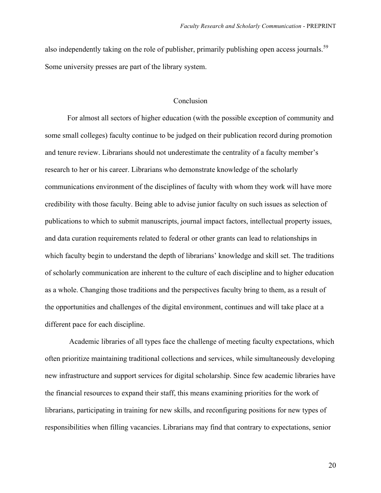also independently taking on the role of publisher, primarily publishing open access journals.<sup>59</sup> Some university presses are part of the library system.

## Conclusion

For almost all sectors of higher education (with the possible exception of community and some small colleges) faculty continue to be judged on their publication record during promotion and tenure review. Librarians should not underestimate the centrality of a faculty member's research to her or his career. Librarians who demonstrate knowledge of the scholarly communications environment of the disciplines of faculty with whom they work will have more credibility with those faculty. Being able to advise junior faculty on such issues as selection of publications to which to submit manuscripts, journal impact factors, intellectual property issues, and data curation requirements related to federal or other grants can lead to relationships in which faculty begin to understand the depth of librarians' knowledge and skill set. The traditions of scholarly communication are inherent to the culture of each discipline and to higher education as a whole. Changing those traditions and the perspectives faculty bring to them, as a result of the opportunities and challenges of the digital environment, continues and will take place at a different pace for each discipline.

Academic libraries of all types face the challenge of meeting faculty expectations, which often prioritize maintaining traditional collections and services, while simultaneously developing new infrastructure and support services for digital scholarship. Since few academic libraries have the financial resources to expand their staff, this means examining priorities for the work of librarians, participating in training for new skills, and reconfiguring positions for new types of responsibilities when filling vacancies. Librarians may find that contrary to expectations, senior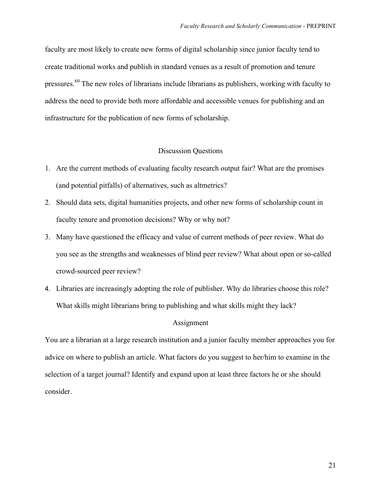faculty are most likely to create new forms of digital scholarship since junior faculty tend to create traditional works and publish in standard venues as a result of promotion and tenure pressures.<sup>60</sup> The new roles of librarians include librarians as publishers, working with faculty to address the need to provide both more affordable and accessible venues for publishing and an infrastructure for the publication of new forms of scholarship.

## Discussion Questions

- 1. Are the current methods of evaluating faculty research output fair? What are the promises (and potential pitfalls) of alternatives, such as altmetrics?
- 2. Should data sets, digital humanities projects, and other new forms of scholarship count in faculty tenure and promotion decisions? Why or why not?
- 3. Many have questioned the efficacy and value of current methods of peer review. What do you see as the strengths and weaknesses of blind peer review? What about open or so-called crowd-sourced peer review?
- 4. Libraries are increasingly adopting the role of publisher. Why do libraries choose this role? What skills might librarians bring to publishing and what skills might they lack?

#### Assignment

You are a librarian at a large research institution and a junior faculty member approaches you for advice on where to publish an article. What factors do you suggest to her/him to examine in the selection of a target journal? Identify and expand upon at least three factors he or she should consider.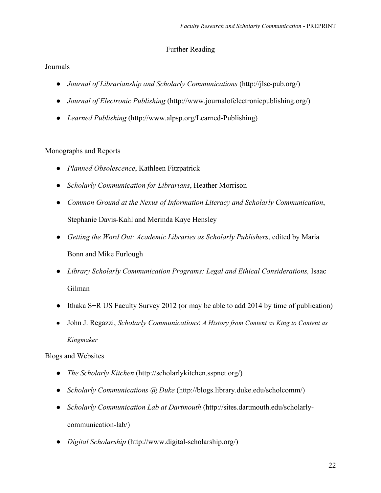# Further Reading

# Journals

- *Journal of Librarianship and Scholarly Communications* (http://jlsc-pub.org/)
- *Journal of Electronic Publishing* (http://www.journalofelectronicpublishing.org/)
- *Learned Publishing* (http://www.alpsp.org/Learned-Publishing)

# Monographs and Reports

- *Planned Obsolescence*, Kathleen Fitzpatrick
- *Scholarly Communication for Librarians*, Heather Morrison
- *Common Ground at the Nexus of Information Literacy and Scholarly Communication*, Stephanie Davis-Kahl and Merinda Kaye Hensley
- *Getting the Word Out: Academic Libraries as Scholarly Publishers*, edited by Maria Bonn and Mike Furlough
- *Library Scholarly Communication Programs: Legal and Ethical Considerations,* Isaac Gilman
- Ithaka S+R US Faculty Survey 2012 (or may be able to add 2014 by time of publication)
- John J. Regazzi, *Scholarly Communications*: *A History from Content as King to Content as Kingmaker*

# Blogs and Websites

- *The Scholarly Kitchen* (http://scholarlykitchen.sspnet.org/)
- *Scholarly Communications @ Duke* (http://blogs.library.duke.edu/scholcomm/)
- *Scholarly Communication Lab at Dartmouth* (http://sites.dartmouth.edu/scholarlycommunication-lab/)
- *Digital Scholarship* (http://www.digital-scholarship.org/)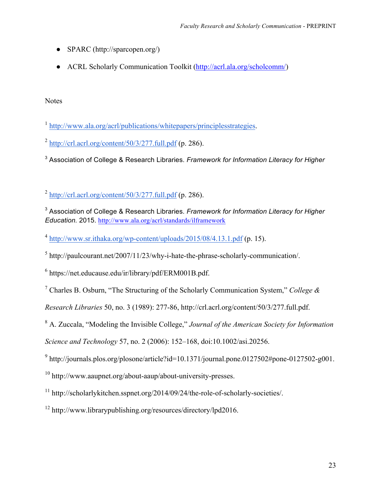- SPARC (http://sparcopen.org/)
- ACRL Scholarly Communication Toolkit (http://acrl.ala.org/scholcomm/)

**Notes** 

 $^2$  http://crl.acrl.org/content/50/3/277.full.pdf (p. 286).

<sup>3</sup> Association of College & Research Libraries. *Framework for Information Literacy for Higher*

 $^2$  http://crl.acrl.org/content/50/3/277.full.pdf (p. 286).

<sup>3</sup> Association of College & Research Libraries. *Framework for Information Literacy for Higher Education.* 2015. http://www.ala.org/acrl/standards/ilframework

 $^4$  http://www.sr.ithaka.org/wp-content/uploads/2015/08/4.13.1.pdf (p. 15).

 $5$  http://paulcourant.net/2007/11/23/why-i-hate-the-phrase-scholarly-communication/.

<sup>6</sup> https://net.educause.edu/ir/library/pdf/ERM001B.pdf.

<sup>7</sup> Charles B. Osburn, "The Structuring of the Scholarly Communication System," *College &* 

*Research Libraries* 50, no. 3 (1989): 277-86, http://crl.acrl.org/content/50/3/277.full.pdf.

<sup>8</sup> A. Zuccala, "Modeling the Invisible College," *Journal of the American Society for Information* 

*Science and Technology* 57, no. 2 (2006): 152–168, doi:10.1002/asi.20256.

 $9$  http://journals.plos.org/plosone/article?id=10.1371/journal.pone.0127502#pone-0127502-g001.

<sup>10</sup> http://www.aaupnet.org/about-aaup/about-university-presses.

<sup>11</sup> http://scholarlykitchen.sspnet.org/2014/09/24/the-role-of-scholarly-societies/.

<sup>12</sup> http://www.librarypublishing.org/resources/directory/lpd2016.

<sup>1</sup> http://www.ala.org/acrl/publications/whitepapers/principlesstrategies.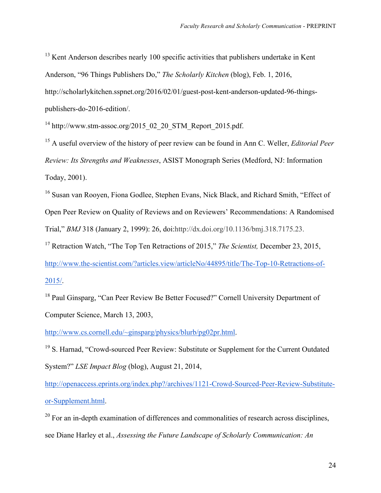$13$  Kent Anderson describes nearly 100 specific activities that publishers undertake in Kent Anderson, "96 Things Publishers Do," *The Scholarly Kitchen* (blog), Feb. 1, 2016, http://scholarlykitchen.sspnet.org/2016/02/01/guest-post-kent-anderson-updated-96-thingspublishers-do-2016-edition/.

 $14$  http://www.stm-assoc.org/2015\_02\_20\_STM\_Report\_2015.pdf.

<sup>15</sup> A useful overview of the history of peer review can be found in Ann C. Weller, *Editorial Peer Review: Its Strengths and Weaknesses*, ASIST Monograph Series (Medford, NJ: Information Today, 2001).

<sup>16</sup> Susan van Rooyen, Fiona Godlee, Stephen Evans, Nick Black, and Richard Smith, "Effect of Open Peer Review on Quality of Reviews and on Reviewers' Recommendations: A Randomised Trial," *BMJ* 318 (January 2, 1999): 26, doi:http://dx.doi.org/10.1136/bmj.318.7175.23.

<sup>17</sup> Retraction Watch, "The Top Ten Retractions of 2015," *The Scientist,* December 23, 2015,

http://www.the-scientist.com/?articles.view/articleNo/44895/title/The-Top-10-Retractions-of-2015/.

<sup>18</sup> Paul Ginsparg, "Can Peer Review Be Better Focused?" Cornell University Department of Computer Science, March 13, 2003,

http://www.cs.cornell.edu/~ginsparg/physics/blurb/pg02pr.html.

<sup>19</sup> S. Harnad, "Crowd-sourced Peer Review: Substitute or Supplement for the Current Outdated System?" *LSE Impact Blog* (blog), August 21, 2014,

http://openaccess.eprints.org/index.php?/archives/1121-Crowd-Sourced-Peer-Review-Substituteor-Supplement.html.

 $20$  For an in-depth examination of differences and commonalities of research across disciplines, see Diane Harley et al., *Assessing the Future Landscape of Scholarly Communication: An*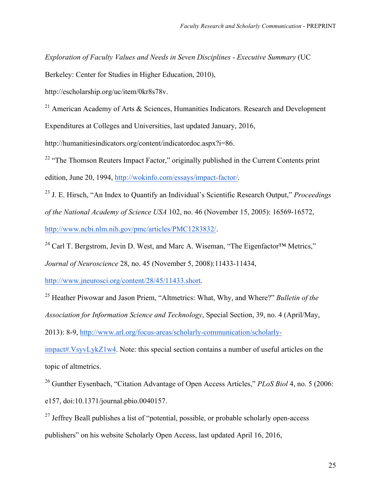*Exploration of Faculty Values and Needs in Seven Disciplines* - *Executive Summary* (UC

Berkeley: Center for Studies in Higher Education, 2010),

http://escholarship.org/uc/item/0kr8s78v.

<sup>21</sup> American Academy of Arts  $\&$  Sciences, Humanities Indicators. Research and Development

Expenditures at Colleges and Universities, last updated January, 2016,

http://humanitiesindicators.org/content/indicatordoc.aspx?i=86.

<sup>22</sup> "The Thomson Reuters Impact Factor," originally published in the Current Contents print edition, June 20, 1994, http://wokinfo.com/essays/impact-factor/.

<sup>23</sup> J. E. Hirsch, "An Index to Quantify an Individual's Scientific Research Output," *Proceedings of the National Academy of Science USA* 102, no. 46 (November 15, 2005): 16569-16572, http://www.ncbi.nlm.nih.gov/pmc/articles/PMC1283832/.

<sup>24</sup> Carl T. Bergstrom, Jevin D. West, and Marc A. Wiseman, "The Eigenfactor<sup>TM</sup> Metrics,"

*Journal of Neuroscience* 28, no. 45 (November 5, 2008):11433-11434,

http://www.jneurosci.org/content/28/45/11433.short.

<sup>25</sup> Heather Piwowar and Jason Priem, "Altmetrics: What, Why, and Where?" *Bulletin of the* 

*Association for Information Science and Technology*, Special Section, 39, no. 4 (April/May,

2013): 8-9, http://www.arl.org/focus-areas/scholarly-communication/scholarly-

impact#.VsyvLykZ1w4. Note: this special section contains a number of useful articles on the topic of altmetrics.

<sup>26</sup> Gunther Eysenbach, "Citation Advantage of Open Access Articles," *PLoS Biol* 4, no. 5 (2006: e157, doi:10.1371/journal.pbio.0040157.

 $27$  Jeffrey Beall publishes a list of "potential, possible, or probable scholarly open-access publishers" on his website Scholarly Open Access, last updated April 16, 2016,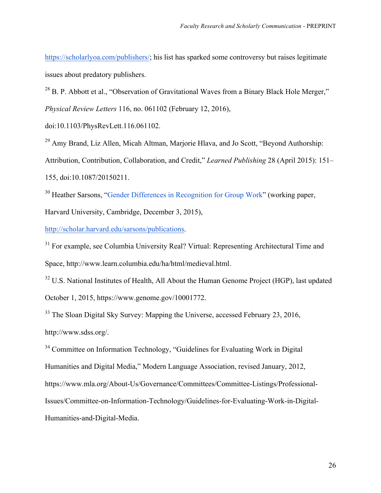https://scholarlyoa.com/publishers/; his list has sparked some controversy but raises legitimate issues about predatory publishers.

<sup>28</sup> B. P. Abbott et al., "Observation of Gravitational Waves from a Binary Black Hole Merger," *Physical Review Letters* 116, no. 061102 (February 12, 2016),

doi:10.1103/PhysRevLett.116.061102.

<sup>29</sup> Amy Brand, Liz Allen, Micah Altman, Marjorie Hlava, and Jo Scott, "Beyond Authorship: Attribution, Contribution, Collaboration, and Credit," *Learned Publishing* 28 (April 2015): 151– 155, doi:10.1087/20150211.

<sup>30</sup> Heather Sarsons, "Gender Differences in Recognition for Group Work" (working paper,

Harvard University, Cambridge, December 3, 2015),

http://scholar.harvard.edu/sarsons/publications.

<sup>31</sup> For example, see Columbia University Real? Virtual: Representing Architectural Time and Space, http://www.learn.columbia.edu/ha/html/medieval.html.

<sup>32</sup> U.S. National Institutes of Health, All About the Human Genome Project (HGP), last updated October 1, 2015, https://www.genome.gov/10001772.

<sup>33</sup> The Sloan Digital Sky Survey: Mapping the Universe, accessed February 23, 2016, http://www.sdss.org/.

<sup>34</sup> Committee on Information Technology, "Guidelines for Evaluating Work in Digital Humanities and Digital Media," Modern Language Association, revised January, 2012, https://www.mla.org/About-Us/Governance/Committees/Committee-Listings/Professional-Issues/Committee-on-Information-Technology/Guidelines-for-Evaluating-Work-in-Digital-Humanities-and-Digital-Media.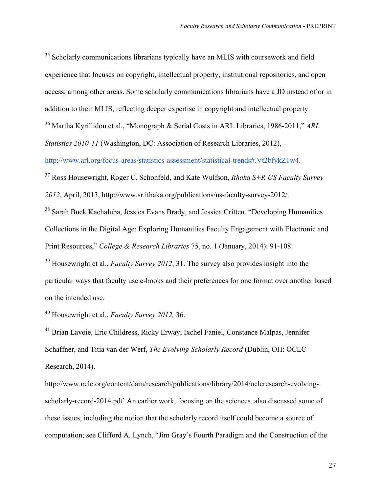<sup>35</sup> Scholarly communications librarians typically have an MLIS with coursework and field experience that focuses on copyright, intellectual property, institutional repositories, and open access, among other areas. Some scholarly communications librarians have a JD instead of or in addition to their MLIS, reflecting deeper expertise in copyright and intellectual property.

<sup>36</sup> Martha Kyrillidou et al., "Monograph & Serial Costs in ARL Libraries, 1986-2011," *ARL* 

*Statistics 2010-11* (Washington, DC: Association of Research Libraries, 2012),

http://www.arl.org/focus-areas/statistics-assessment/statistical-trends#.Vt2bfykZ1w4.

<sup>37</sup> Ross Housewright, Roger C. Schonfeld, and Kate Wulfson, *Ithaka S+R US Faculty Survey 2012*, April, 2013, http://www.sr.ithaka.org/publications/us-faculty-survey-2012/.

<sup>38</sup> Sarah Buck Kachaluba, Jessica Evans Brady, and Jessica Critten, "Developing Humanities Collections in the Digital Age: Exploring Humanities Faculty Engagement with Electronic and Print Resources," *College & Research Libraries* 75, no. 1 (January, 2014): 91-108.

<sup>39</sup> Housewright et al., *Faculty Survey 2012*, 31. The survey also provides insight into the particular ways that faculty use e-books and their preferences for one format over another based on the intended use.

<sup>40</sup> Housewright et al., *Faculty Survey 2012,* 36.

<sup>41</sup> Brian Lavoie, Eric Childress, Ricky Erway, Ixchel Faniel, Constance Malpas, Jennifer Schaffner, and Titia van der Werf, *The Evolving Scholarly Record* (Dublin, OH: OCLC Research, 2014).

http://www.oclc.org/content/dam/research/publications/library/2014/oclcresearch-evolvingscholarly-record-2014.pdf. An earlier work, focusing on the sciences, also discussed some of these issues, including the notion that the scholarly record itself could become a source of computation; see Clifford A. Lynch, "Jim Gray's Fourth Paradigm and the Construction of the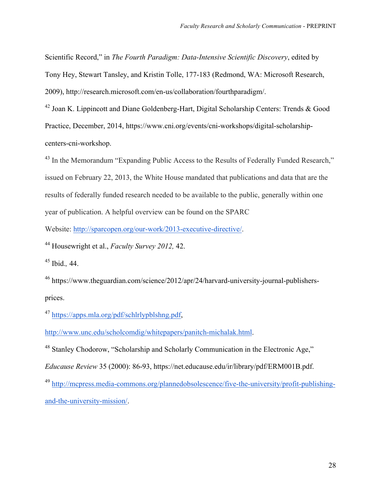Scientific Record," in *The Fourth Paradigm: Data-Intensive Scientific Discovery*, edited by Tony Hey, Stewart Tansley, and Kristin Tolle, 177-183 (Redmond, WA: Microsoft Research, 2009), http://research.microsoft.com/en-us/collaboration/fourthparadigm/.

<sup>42</sup> Joan K. Lippincott and Diane Goldenberg-Hart, Digital Scholarship Centers: Trends & Good Practice, December, 2014, https://www.cni.org/events/cni-workshops/digital-scholarshipcenters-cni-workshop.

<sup>43</sup> In the Memorandum "Expanding Public Access to the Results of Federally Funded Research," issued on February 22, 2013, the White House mandated that publications and data that are the results of federally funded research needed to be available to the public, generally within one year of publication. A helpful overview can be found on the SPARC

Website: http://sparcopen.org/our-work/2013-executive-directive/.

<sup>44</sup> Housewright et al., *Faculty Survey 2012,* 42.

<sup>45</sup> Ibid.*,* 44.

<sup>46</sup> https://www.theguardian.com/science/2012/apr/24/harvard-university-journal-publishersprices.

<sup>47</sup> https://apps.mla.org/pdf/schlrlypblshng.pdf.

http://www.unc.edu/scholcomdig/whitepapers/panitch-michalak.html.

<sup>48</sup> Stanley Chodorow, "Scholarship and Scholarly Communication in the Electronic Age,"

*Educause Review* 35 (2000): 86-93, https://net.educause.edu/ir/library/pdf/ERM001B.pdf.

<sup>49</sup> http://mcpress.media-commons.org/plannedobsolescence/five-the-university/profit-publishingand-the-university-mission/.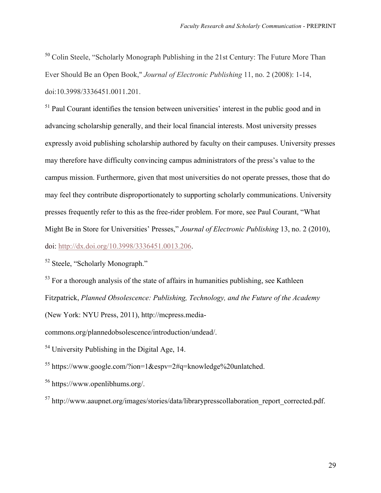<sup>50</sup> Colin Steele, "Scholarly Monograph Publishing in the 21st Century: The Future More Than Ever Should Be an Open Book," *Journal of Electronic Publishing* 11, no. 2 (2008): 1-14, doi:10.3998/3336451.0011.201.

 $<sup>51</sup>$  Paul Courant identifies the tension between universities' interest in the public good and in</sup> advancing scholarship generally, and their local financial interests. Most university presses expressly avoid publishing scholarship authored by faculty on their campuses. University presses may therefore have difficulty convincing campus administrators of the press's value to the campus mission. Furthermore, given that most universities do not operate presses, those that do may feel they contribute disproportionately to supporting scholarly communications. University presses frequently refer to this as the free-rider problem. For more, see Paul Courant, "What Might Be in Store for Universities' Presses," *Journal of Electronic Publishing* 13, no. 2 (2010), doi: http://dx.doi.org/10.3998/3336451.0013.206.

<sup>52</sup> Steele, "Scholarly Monograph."

 $53$  For a thorough analysis of the state of affairs in humanities publishing, see Kathleen

Fitzpatrick, *Planned Obsolescence: Publishing, Technology, and the Future of the Academy*

(New York: NYU Press, 2011), http://mcpress.media-

commons.org/plannedobsolescence/introduction/undead/.

<sup>54</sup> University Publishing in the Digital Age, 14.

<sup>55</sup> https://www.google.com/?ion=1&espy=2#q=knowledge%20unlatched.

<sup>56</sup> https://www.openlibhums.org/.

<sup>57</sup> http://www.aaupnet.org/images/stories/data/librarypresscollaboration\_report\_corrected.pdf.